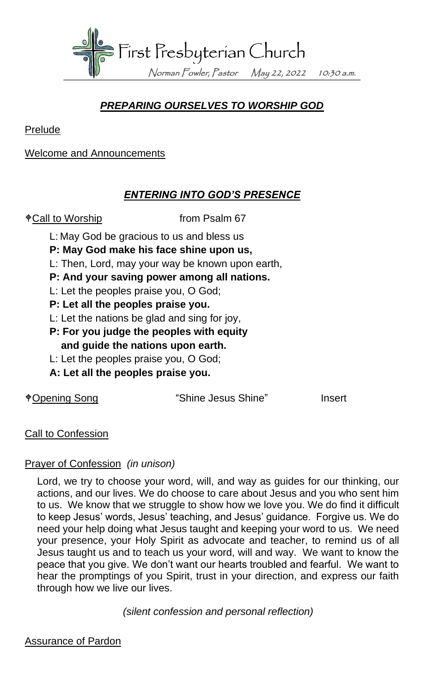

## *PREPARING OURSELVES TO WORSHIP GOD*

Prelude

Welcome and Announcements

## *ENTERING INTO GOD'S PRESENCE*

 $\textcolor{red}{\bullet}$  Call to Worship from Psalm 67

- L: May God be gracious to us and bless us
- **P: May God make his face shine upon us,**
- L: Then, Lord, may your way be known upon earth,
- **P: And your saving power among all nations.**
- L: Let the peoples praise you, O God;
- **P: Let all the peoples praise you.**
- L: Let the nations be glad and sing for joy,
- **P: For you judge the peoples with equity and guide the nations upon earth.**
- L: Let the peoples praise you, O God;
- **A: Let all the peoples praise you.**

Opening Song "Shine Jesus Shine" Insert

Call to Confession

### Prayer of Confession *(in unison)*

Lord, we try to choose your word, will, and way as guides for our thinking, our actions, and our lives. We do choose to care about Jesus and you who sent him to us. We know that we struggle to show how we love you. We do find it difficult to keep Jesus' words, Jesus' teaching, and Jesus' guidance. Forgive us. We do need your help doing what Jesus taught and keeping your word to us. We need your presence, your Holy Spirit as advocate and teacher, to remind us of all Jesus taught us and to teach us your word, will and way. We want to know the peace that you give. We don't want our hearts troubled and fearful. We want to hear the promptings of you Spirit, trust in your direction, and express our faith through how we live our lives.

*(silent confession and personal reflection)*

Assurance of Pardon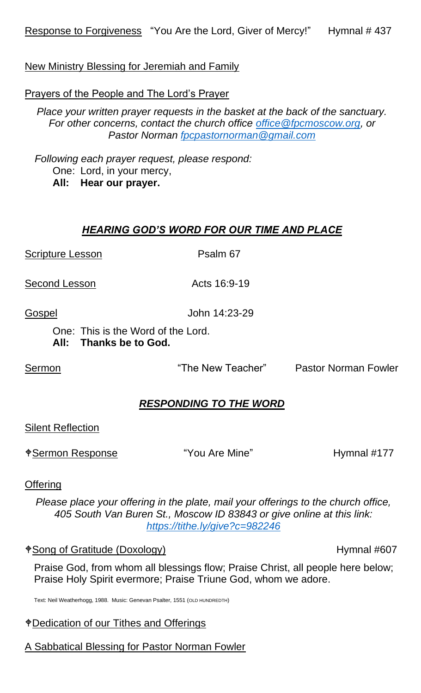New Ministry Blessing for Jeremiah and Family

Prayers of the People and The Lord's Prayer

*Place your written prayer requests in the basket at the back of the sanctuary. For other concerns, contact the church office [office@fpcmoscow.org,](mailto:office@fpcmoscow.org) or Pastor Norman [fpcpastornorman@gmail.com](mailto:fpcpastornorman@gmail.com)*

*Following each prayer request, please respond:* One: Lord, in your mercy, **All: Hear our prayer.**

### *HEARING GOD'S WORD FOR OUR TIME AND PLACE*

Scripture Lesson Psalm 67

Second Lesson Acts 16:9-19

Gospel John 14:23-29

One: This is the Word of the Lord.

**All: Thanks be to God.**

Sermon The New Teacher" Pastor Norman Fowler

#### *RESPONDING TO THE WORD*

Silent Reflection

\*Sermon Response "You Are Mine" Hymnal #177

**Offering** 

*Please place your offering in the plate, mail your offerings to the church office, 405 South Van Buren St., Moscow ID 83843 or give online at this link: <https://tithe.ly/give?c=982246>*

#### $\angle$  Song of Gratitude (Doxology) example the Hymnal #607

Praise God, from whom all blessings flow; Praise Christ, all people here below; Praise Holy Spirit evermore; Praise Triune God, whom we adore.

Text: Neil Weatherhogg, 1988. Music: Genevan Psalter, 1551 (OLD HUNDREDTH)

#### Dedication of our Tithes and Offerings

A Sabbatical Blessing for Pastor Norman Fowler